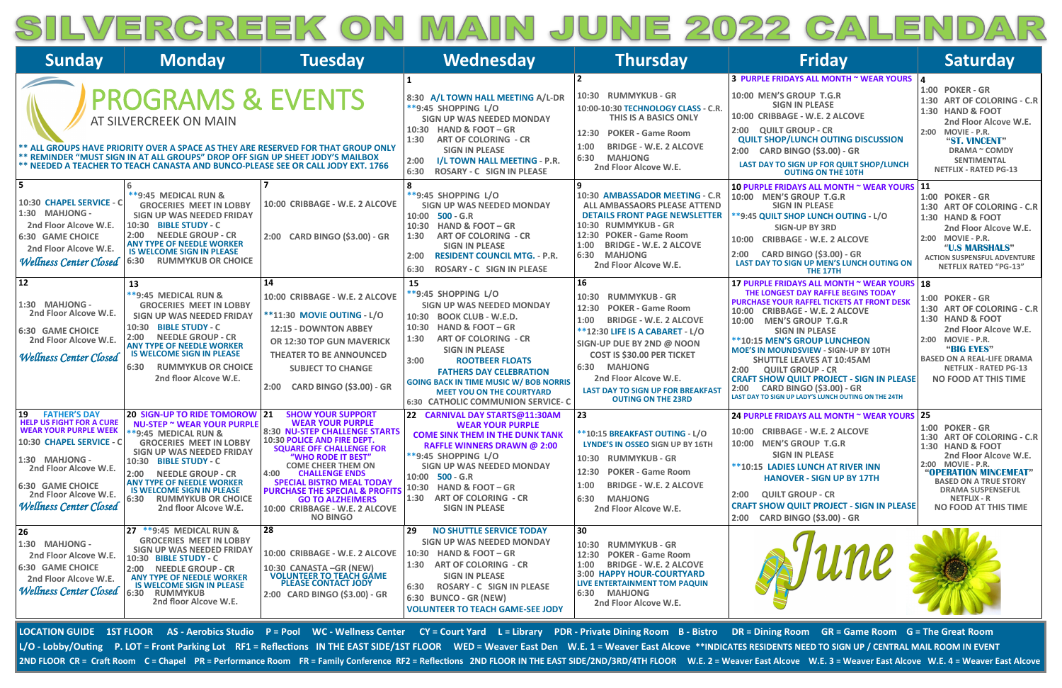# SILVERGREEK ON MAIN JUNE 2022 GALENDAR

| <b>Sunday</b>                                                                                                                                                                                                                                            | <b>Monday</b>                                                                                                                                                                                                                                                                                                                                                        | <b>Tuesday</b>                                                                                                                                                                                                                                                                                                                                                                                                     | Wednesday                                                                                                                                                                                                                                                                                                                                                                                     | <b>Thursday</b>                                                                                                                                                                                                                                                                                                                                           | <b>Friday</b>                                                                                                                                                                                                                                                                                                                                                                                                                                                                                                                                                  | <b>Saturday</b>                                                                                                                                                                                                                                                      |
|----------------------------------------------------------------------------------------------------------------------------------------------------------------------------------------------------------------------------------------------------------|----------------------------------------------------------------------------------------------------------------------------------------------------------------------------------------------------------------------------------------------------------------------------------------------------------------------------------------------------------------------|--------------------------------------------------------------------------------------------------------------------------------------------------------------------------------------------------------------------------------------------------------------------------------------------------------------------------------------------------------------------------------------------------------------------|-----------------------------------------------------------------------------------------------------------------------------------------------------------------------------------------------------------------------------------------------------------------------------------------------------------------------------------------------------------------------------------------------|-----------------------------------------------------------------------------------------------------------------------------------------------------------------------------------------------------------------------------------------------------------------------------------------------------------------------------------------------------------|----------------------------------------------------------------------------------------------------------------------------------------------------------------------------------------------------------------------------------------------------------------------------------------------------------------------------------------------------------------------------------------------------------------------------------------------------------------------------------------------------------------------------------------------------------------|----------------------------------------------------------------------------------------------------------------------------------------------------------------------------------------------------------------------------------------------------------------------|
|                                                                                                                                                                                                                                                          | <b>PROGRAMS &amp; EVENTS</b><br>AT SILVERCREEK ON MAIN<br>** REMINDER "MUST SIGN IN AT ALL GROUPS" DROP OFF SIGN UP SHEET JODY'S MAILBOX<br>** NEEDED A TEACHER TO TEACH CANASTA AND BUNCO-PLEASE SEE OR CALL JODY EXT. 1766                                                                                                                                         | ** ALL GROUPS HAVE PRIORITY OVER A SPACE AS THEY ARE RESERVED FOR THAT GROUP ONLY                                                                                                                                                                                                                                                                                                                                  | 8:30 A/L TOWN HALL MEETING A/L-DR<br><b>**9:45 SHOPPING L/O</b><br>SIGN UP WAS NEEDED MONDAY<br><b>HAND &amp; FOOT-GR</b><br>10:30<br><b>ART OF COLORING - CR</b><br>1:30<br><b>SIGN IN PLEASE</b><br>I/L TOWN HALL MEETING - P.R.<br>2:00<br>6:30<br><b>ROSARY - C SIGN IN PLEASE</b>                                                                                                        | 10:30 RUMMYKUB - GR<br>10:00-10:30 TECHNOLOGY CLASS - C.R.<br>THIS IS A BASICS ONLY<br>12:30 POKER - Game Room<br>1:00<br><b>BRIDGE - W.E. 2 ALCOVE</b><br>6:30<br><b>MAHJONG</b><br>2nd Floor Alcove W.E.                                                                                                                                                | 3 PURPLE FRIDAYS ALL MONTH ~ WEAR YOURS 4<br>10:00 MEN'S GROUP T.G.R<br><b>SIGN IN PLEASE</b><br>10:00 CRIBBAGE - W.E. 2 ALCOVE<br>2:00 QUILT GROUP - CR<br><b>QUILT SHOP/LUNCH OUTING DISCUSSION</b><br>2:00 CARD BINGO (\$3.00) - GR<br>LAST DAY TO SIGN UP FOR QUILT SHOP/LUNCH<br><b>OUTING ON THE 10TH</b>                                                                                                                                                                                                                                                | <b>1:00 POKER - GR</b><br>1:30 ART OF COLORING - C.R<br><b>1:30 HAND &amp; FOOT</b><br>2nd Floor Alcove W.E.<br>2:00 MOVIE - P.R.<br>"ST. VINCENT"<br><b>DRAMA ~ COMDY</b><br><b>SENTIMENTAL</b><br><b>NETFLIX - RATED PG-13</b>                                     |
| 10:30 CHAPEL SERVICE - C<br>1:30 MAHJONG -<br>2nd Floor Alcove W.E.<br><b>6:30 GAME CHOICE</b><br>2nd Floor Alcove W.E.<br><b>Wellness Center Closed</b>                                                                                                 | **9:45 MEDICAL RUN &<br><b>GROCERIES MEET IN LOBBY</b><br>SIGN UP WAS NEEDED FRIDAY<br>10:30 BIBLE STUDY - C<br>2:00<br><b>NEEDLE GROUP - CR</b><br><b>ANY TYPE OF NEEDLE WORKER</b><br><b>IS WELCOME SIGN IN PLEASE</b><br><b>RUMMYKUB OR CHOICE</b><br>6:30                                                                                                        | 10:00 CRIBBAGE - W.E. 2 ALCOVE<br>2:00 CARD BINGO (\$3.00) - GR                                                                                                                                                                                                                                                                                                                                                    | <b>**9:45 SHOPPING L/O</b><br>SIGN UP WAS NEEDED MONDAY<br>10:00 500 - G.R<br><b>HAND &amp; FOOT-GR</b><br>10:30<br><b>ART OF COLORING - CR</b><br>1:30<br><b>SIGN IN PLEASE</b><br><b>RESIDENT COUNCIL MTG. - P.R.</b><br>2:00<br><b>ROSARY - C SIGN IN PLEASE</b><br>6:30                                                                                                                   | 10:30 AMBASSADOR MEETING - C.R<br><b>ALL AMBASSAORS PLEASE ATTEND</b><br><b>DETAILS FRONT PAGE NEWSLETTER</b><br>10:30 RUMMYKUB - GR<br>12:30 POKER - Game Room<br><b>BRIDGE - W.E. 2 ALCOVE</b><br>1:00<br><b>MAHJONG</b><br>6:30<br>2nd Floor Alcove W.E.                                                                                               | 10 PURPLE FRIDAYS ALL MONTH ~ WEAR YOURS 11<br>10:00 MEN'S GROUP T.G.R<br><b>SIGN IN PLEASE</b><br>**9:45 QUILT SHOP LUNCH OUTING - L/O<br><b>SIGN-UP BY 3RD</b><br>10:00 CRIBBAGE - W.E. 2 ALCOVE<br><b>CARD BINGO (\$3.00) - GR</b><br>2:00<br>LAST DAY TO SIGN UP MEN'S LUNCH OUTING ON<br>THE 17TH                                                                                                                                                                                                                                                         | 1:00 POKER - GR<br>1:30 ART OF COLORING - C.R<br><b>1:30 HAND &amp; FOOT</b><br>2nd Floor Alcove W.E.<br>2:00 MOVIE - P.R.<br>"U.S MARSHALS"<br><b>ACTION SUSPENSFUL ADVENTURE</b><br><b>NETFLIX RATED "PG-13"</b>                                                   |
| 12<br>1:30 MAHJONG -<br>2nd Floor Alcove W.E.<br><b>6:30 GAME CHOICE</b><br>2nd Floor Alcove W.E.<br><b>Wellness Center Closed</b>                                                                                                                       | 13<br>**9:45 MEDICAL RUN &<br><b>GROCERIES MEET IN LOBBY</b><br><b>SIGN UP WAS NEEDED FRIDAY</b><br>10:30 BIBLE STUDY - C<br>2:00 NEEDLE GROUP - CR<br><b>ANY TYPE OF NEEDLE WORKER</b><br><b>IS WELCOME SIGN IN PLEASE</b><br><b>RUMMYKUB OR CHOICE</b><br>6:30<br>2nd floor Alcove W.E.                                                                            | 14<br>10:00 CRIBBAGE - W.E. 2 ALCOVE<br><b>**11:30 MOVIE OUTING - L/O</b><br>12:15 - DOWNTON ABBEY<br>OR 12:30 TOP GUN MAVERICK<br><b>THEATER TO BE ANNOUNCED</b><br><b>SUBJECT TO CHANGE</b><br><b>CARD BINGO (\$3.00) - GR</b><br>2:00                                                                                                                                                                           | 15<br>**9:45 SHOPPING L/O<br><b>SIGN UP WAS NEEDED MONDAY</b><br>10:30 BOOK CLUB - W.E.D.<br><b>HAND &amp; FOOT-GR</b><br>10:30<br><b>ART OF COLORING - CR</b><br>1:30<br><b>SIGN IN PLEASE</b><br>3:00<br><b>ROOTBEER FLOATS</b><br><b>FATHERS DAY CELEBRATION</b><br><b>GOING BACK IN TIME MUSIC W/ BOB NORRIS</b><br><b>MEET YOU ON THE COURTYARD</b><br>6:30 CATHOLIC COMMUNION SERVICE-C | 16<br><b>RUMMYKUB - GR</b><br>10:30<br><b>POKER - Game Room</b><br>12:30<br>1:00<br><b>BRIDGE - W.E. 2 ALCOVE</b><br><b>**12:30 LIFE IS A CABARET - L/O</b><br>SIGN-UP DUE BY 2ND @ NOON<br><b>COST IS \$30.00 PER TICKET</b><br>6:30<br><b>MAHJONG</b><br>2nd Floor Alcove W.E.<br><b>LAST DAY TO SIGN UP FOR BREAKFAST</b><br><b>OUTING ON THE 23RD</b> | 17 PURPLE FRIDAYS ALL MONTH ~ WEAR YOURS 18<br>THE LONGEST DAY RAFFLE BEGINS TODAY<br><b>PURCHASE YOUR RAFFEL TICKETS AT FRONT DESK</b><br><b>CRIBBAGE - W.E. 2 ALCOVE</b><br>10:00<br><b>MEN'S GROUP T.G.R</b><br>10:00<br><b>SIGN IN PLEASE</b><br>**10:15 MEN'S GROUP LUNCHEON<br><b>MOE'S IN MOUNDSVIEW - SIGN-UP BY 10TH</b><br><b>SHUTTLE LEAVES AT 10:45AM</b><br>2:00<br><b>QUILT GROUP - CR</b><br><b>CRAFT SHOW QUILT PROJECT - SIGN IN PLEASE</b><br><b>CARD BINGO (\$3.00) - GR</b><br>2:00<br>LAST DAY TO SIGN UP LADY'S LUNCH OUTING ON THE 24TH | <b>1:00 POKER - GR</b><br>1:30 ART OF COLORING - C.R<br>1:30 HAND & FOOT<br>2nd Floor Alcove W.E.<br>2:00 MOVIE - P.R.<br>"BIG EYES"<br><b>BASED ON A REAL-LIFE DRAMA</b><br><b>NETFLIX - RATED PG-13</b><br>NO FOOD AT THIS TIME                                    |
| <b>FATHER'S DAY</b><br>19<br><b>HELP US FIGHT FOR A CURE</b><br><b>WEAR YOUR PURPLE WEEK</b><br>10:30 CHAPEL SERVICE - C<br>1:30 MAHJONG -<br>2nd Floor Alcove W.E.<br><b>6:30 GAME CHOICE</b><br>2nd Floor Alcove W.E.<br><b>Wellness Center Closed</b> | 20 SIGN-UP TO RIDE TOMOROW 21<br><b>NU-STEP ~ WEAR YOUR PURPLE</b><br><b>**9:45 MEDICAL RUN &amp;</b><br><b>GROCERIES MEET IN LOBBY</b><br><b>SIGN UP WAS NEEDED FRIDAY</b><br>10:30 BIBLE STUDY - C<br>2:00 NEEDLE GROUP - CR<br><b>ANY TYPE OF NEEDLE WORKER</b><br><b>IS WELCOME SIGN IN PLEASE</b><br>6:30<br><b>RUMMYKUB OR CHOICE</b><br>2nd floor Alcove W.E. | <b>SHOW YOUR SUPPORT</b><br><b>WEAR YOUR PURPLE</b><br><b>8:30 NU-STEP CHALLENGE STARTS</b><br>10:30 POLICE AND FIRE DEPT.<br><b>SQUARE OFF CHALLENGE FOR</b><br>"WHO RODE IT BEST"<br><b>COME CHEER THEM ON</b><br>4:00<br><b>CHALLENGE ENDS</b><br><b>SPECIAL BISTRO MEAL TODAY</b><br><b>PURCHASE THE SPECIAL &amp; PROFITS</b><br><b>GO TO ALZHEIMERS</b><br>10:00 CRIBBAGE - W.E. 2 ALCOVE<br><b>NO BINGO</b> | 22 CARNIVAL DAY STARTS@11:30AM<br><b>WEAR YOUR PURPLE</b><br><b>COME SINK THEM IN THE DUNK TANK</b><br>RAFFLE WINNERS DRAWN @ 2:00<br><b>**9:45 SHOPPING L/O</b><br>SIGN UP WAS NEEDED MONDAY<br>$10:00$ 500 - G.R<br><b>HAND &amp; FOOT - GR</b><br>10:30<br>1:30 ART OF COLORING - CR<br><b>SIGN IN PLEASE</b>                                                                              | 23<br>** 10:15 BREAKFAST OUTING - L/O<br>LYNDE'S IN OSSEO SIGN UP BY 16TH<br>10:30 RUMMYKUB - GR<br>12:30 POKER - Game Room<br><b>BRIDGE - W.E. 2 ALCOVE</b><br>1:00<br>6:30<br><b>MAHJONG</b><br>2nd Floor Alcove W.E.                                                                                                                                   | 24 PURPLE FRIDAYS ALL MONTH ~ WEAR YOURS 25<br>10:00 CRIBBAGE - W.E. 2 ALCOVE<br>10:00 MEN'S GROUP T.G.R<br><b>SIGN IN PLEASE</b><br><b>**10:15 LADIES LUNCH AT RIVER INN</b><br><b>HANOVER - SIGN UP BY 17TH</b><br><b>QUILT GROUP - CR</b><br>2:00<br><b>CRAFT SHOW QUILT PROJECT - SIGN IN PLEASE</b><br>2:00 CARD BINGO (\$3.00) - GR                                                                                                                                                                                                                      | 1:00 POKER - GR<br>1:30 ART OF COLORING - C.R<br><b>1:30 HAND &amp; FOOT</b><br>2nd Floor Alcove W.E.<br>2:00 MOVIE - P.R.<br>"OPERATION MINCEMEAT"<br><b>BASED ON A TRUE STORY</b><br><b>DRAMA SUSPENSEFUL</b><br><b>NETFLIX - R</b><br><b>NO FOOD AT THIS TIME</b> |
| 26<br>1:30 MAHJONG -<br>2nd Floor Alcove W.E.<br>6:30 GAME CHOICE<br>2nd Floor Alcove W.E.<br><b>Wellness Center Closed</b>                                                                                                                              | 27 **9:45 MEDICAL RUN &<br><b>GROCERIES MEET IN LOBBY</b><br><b>SIGN UP WAS NEEDED FRIDAY</b><br>10:30 BIBLE STUDY - C<br>2:00 NEEDLE GROUP - CR<br><b>ANY TYPE OF NEEDLE WORKER</b><br><b>IS WELCOME SIGN IN PLEASE</b><br>6:30 RUMMYKUB<br>2nd floor Alcove W.E.                                                                                                   | 28<br>10:00 CRIBBAGE - W.E. 2 ALCOVE<br>10:30 CANASTA - GR (NEW)<br><b>VOLUNTEER TO TEACH GAME</b><br><b>PLEASE CONTACT JODY</b><br>2:00 CARD BINGO (\$3.00) - GR                                                                                                                                                                                                                                                  | 29 <br><b>NO SHUTTLE SERVICE TODAY</b><br>SIGN UP WAS NEEDED MONDAY<br><b>HAND &amp; FOOT - GR</b><br>10:30<br>1:30 ART OF COLORING - CR<br><b>SIGN IN PLEASE</b><br><b>ROSARY - C SIGN IN PLEASE</b><br>6:30<br><b>6:30 BUNCO - GR (NEW)</b><br><b>VOLUNTEER TO TEACH GAME-SEE JODY</b>                                                                                                      | 30<br>10:30 RUMMYKUB - GR<br>12:30 POKER - Game Room<br><b>BRIDGE - W.E. 2 ALCOVE</b><br>1:00<br>3:00 HAPPY HOUR-COURTYARD<br>LIVE ENTERTAINMENT TOM PAQUIN<br><b>MAHJONG</b><br>6:30<br>2nd Floor Alcove W.E.                                                                                                                                            |                                                                                                                                                                                                                                                                                                                                                                                                                                                                                                                                                                |                                                                                                                                                                                                                                                                      |

LOCATION GUIDE 1ST FLOOR AS - Aerobics Studio P = Pool WC - Wellness Center CY = Court Yard L = Library PDR - Private Dining Room B - Bistro DR = Dining Room GR = Game Room G = The Great Room L/O - Lobby/Outing P. LOT = Front Parking Lot RF1 = Reflections IN THE EAST SIDE/1ST FLOOR WED = Weaver East Den W.E. 1 = Weaver East Alcove \*\*INDICATES RESIDENTS NEED TO SIGN UP / CENTRAL MAIL ROOM IN EVENT 2ND FLOOR CR = Craft Room C = Chapel PR = Performance Room FR = Family Conference RF2 = Reflections 2ND FLOOR IN THE EAST SIDE/2ND/3RD/4TH FLOOR W.E. 2 = Weaver East Alcove W.E. 3 = Weaver East Alcove W.E. 4 = Weaver East